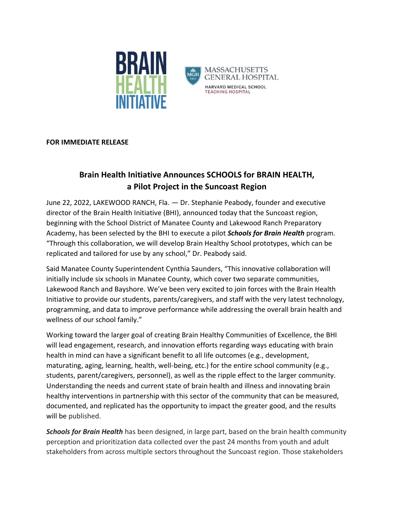

## **FOR IMMEDIATE RELEASE**

## **Brain Health Initiative Announces SCHOOLS for BRAIN HEALTH, a Pilot Project in the Suncoast Region**

June 22, 2022, LAKEWOOD RANCH, Fla. *—* Dr. Stephanie Peabody, founder and executive director of the Brain Health Initiative (BHI), announced today that the Suncoast region, beginning with the School District of Manatee County and Lakewood Ranch Preparatory Academy, has been selected by the BHI to execute a pilot *Schools for Brain Health* program. "Through this collaboration, we will develop Brain Healthy School prototypes, which can be replicated and tailored for use by any school," Dr. Peabody said.

Said Manatee County Superintendent Cynthia Saunders, "This innovative collaboration will initially include six schools in Manatee County, which cover two separate communities, Lakewood Ranch and Bayshore. We've been very excited to join forces with the Brain Health Initiative to provide our students, parents/caregivers, and staff with the very latest technology, programming, and data to improve performance while addressing the overall brain health and wellness of our school family."

Working toward the larger goal of creating Brain Healthy Communities of Excellence, the BHI will lead engagement, research, and innovation efforts regarding ways educating with brain health in mind can have a significant benefit to all life outcomes (e.g., development, maturating, aging, learning, health, well-being, etc.) for the entire school community (e.g., students, parent/caregivers, personnel), as well as the ripple effect to the larger community. Understanding the needs and current state of brain health and illness and innovating brain healthy interventions in partnership with this sector of the community that can be measured, documented, and replicated has the opportunity to impact the greater good, and the results will be published.

*Schools for Brain Health* has been designed, in large part, based on the brain health community perception and prioritization data collected over the past 24 months from youth and adult stakeholders from across multiple sectors throughout the Suncoast region. Those stakeholders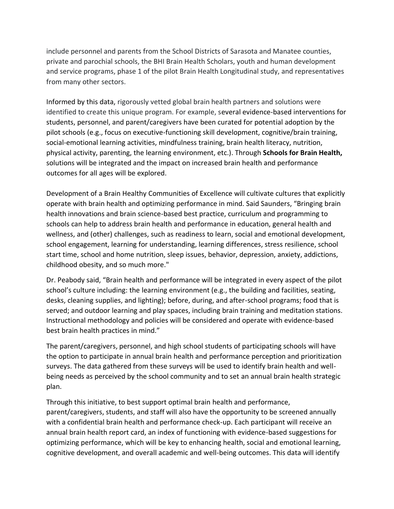include personnel and parents from the School Districts of Sarasota and Manatee counties, private and parochial schools, the BHI Brain Health Scholars, youth and human development and service programs, phase 1 of the pilot Brain Health Longitudinal study, and representatives from many other sectors.

Informed by this data, rigorously vetted global brain health partners and solutions were identified to create this unique program. For example, several evidence-based interventions for students, personnel, and parent/caregivers have been curated for potential adoption by the pilot schools (e.g., focus on executive-functioning skill development, cognitive/brain training, social-emotional learning activities, mindfulness training, brain health literacy, nutrition, physical activity, parenting, the learning environment, etc.). Through **Schools for Brain Health,**  solutions will be integrated and the impact on increased brain health and performance outcomes for all ages will be explored.

Development of a Brain Healthy Communities of Excellence will cultivate cultures that explicitly operate with brain health and optimizing performance in mind. Said Saunders, "Bringing brain health innovations and brain science-based best practice, curriculum and programming to schools can help to address brain health and performance in education, general health and wellness, and (other) challenges, such as readiness to learn, social and emotional development, school engagement, learning for understanding, learning differences, stress resilience, school start time, school and home nutrition, sleep issues, behavior, depression, anxiety, addictions, childhood obesity, and so much more."

Dr. Peabody said, "Brain health and performance will be integrated in every aspect of the pilot school's culture including: the learning environment (e.g., the building and facilities, seating, desks, cleaning supplies, and lighting); before, during, and after-school programs; food that is served; and outdoor learning and play spaces, including brain training and meditation stations. Instructional methodology and policies will be considered and operate with evidence-based best brain health practices in mind."

The parent/caregivers, personnel, and high school students of participating schools will have the option to participate in annual brain health and performance perception and prioritization surveys. The data gathered from these surveys will be used to identify brain health and wellbeing needs as perceived by the school community and to set an annual brain health strategic plan.

Through this initiative, to best support optimal brain health and performance, parent/caregivers, students, and staff will also have the opportunity to be screened annually with a confidential brain health and performance check-up. Each participant will receive an annual brain health report card, an index of functioning with evidence-based suggestions for optimizing performance, which will be key to enhancing health, social and emotional learning, cognitive development, and overall academic and well-being outcomes. This data will identify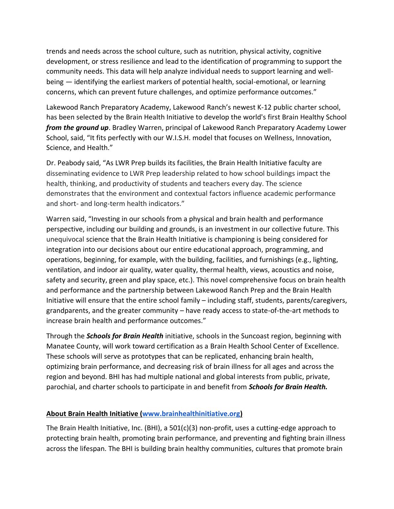trends and needs across the school culture, such as nutrition, physical activity, cognitive development, or stress resilience and lead to the identification of programming to support the community needs. This data will help analyze individual needs to support learning and wellbeing — identifying the earliest markers of potential health, social-emotional, or learning concerns, which can prevent future challenges, and optimize performance outcomes."

Lakewood Ranch Preparatory Academy, Lakewood Ranch's newest K-12 public charter school, has been selected by the Brain Health Initiative to develop the world's first Brain Healthy School *from the ground up*. Bradley Warren, principal of Lakewood Ranch Preparatory Academy Lower School, said, "It fits perfectly with our W.I.S.H. model that focuses on Wellness, Innovation, Science, and Health."

Dr. Peabody said, "As LWR Prep builds its facilities, the Brain Health Initiative faculty are disseminating evidence to LWR Prep leadership related to how school buildings impact the health, thinking, and productivity of students and teachers every day. The science demonstrates that the environment and contextual factors influence academic performance and short- and long-term health indicators."

Warren said, "Investing in our schools from a physical and brain health and performance perspective, including our building and grounds, is an investment in our collective future. This unequivocal science that the Brain Health Initiative is championing is being considered for integration into our decisions about our entire educational approach, programming, and operations, beginning, for example, with the building, facilities, and furnishings (e.g., lighting, ventilation, and indoor air quality, water quality, thermal health, views, acoustics and noise, safety and security, green and play space, etc.). This novel comprehensive focus on brain health and performance and the partnership between Lakewood Ranch Prep and the Brain Health Initiative will ensure that the entire school family – including staff, students, parents/caregivers, grandparents, and the greater community – have ready access to state-of-the-art methods to increase brain health and performance outcomes."

Through the *Schools for Brain Health* initiative, schools in the Suncoast region, beginning with Manatee County, will work toward certification as a Brain Health School Center of Excellence. These schools will serve as prototypes that can be replicated, enhancing brain health, optimizing brain performance, and decreasing risk of brain illness for all ages and across the region and beyond. BHI has had multiple national and global interests from public, private, parochial, and charter schools to participate in and benefit from *Schools for Brain Health.* 

## **About Brain Health Initiative [\(www.brainhealthinitiative.org\)](http://www.brainhealthinitiative.org/)**

The Brain Health Initiative, Inc. (BHI), a 501(c)(3) non-profit, uses a cutting-edge approach to protecting brain health, promoting brain performance, and preventing and fighting brain illness across the lifespan. The BHI is building brain healthy communities, cultures that promote brain